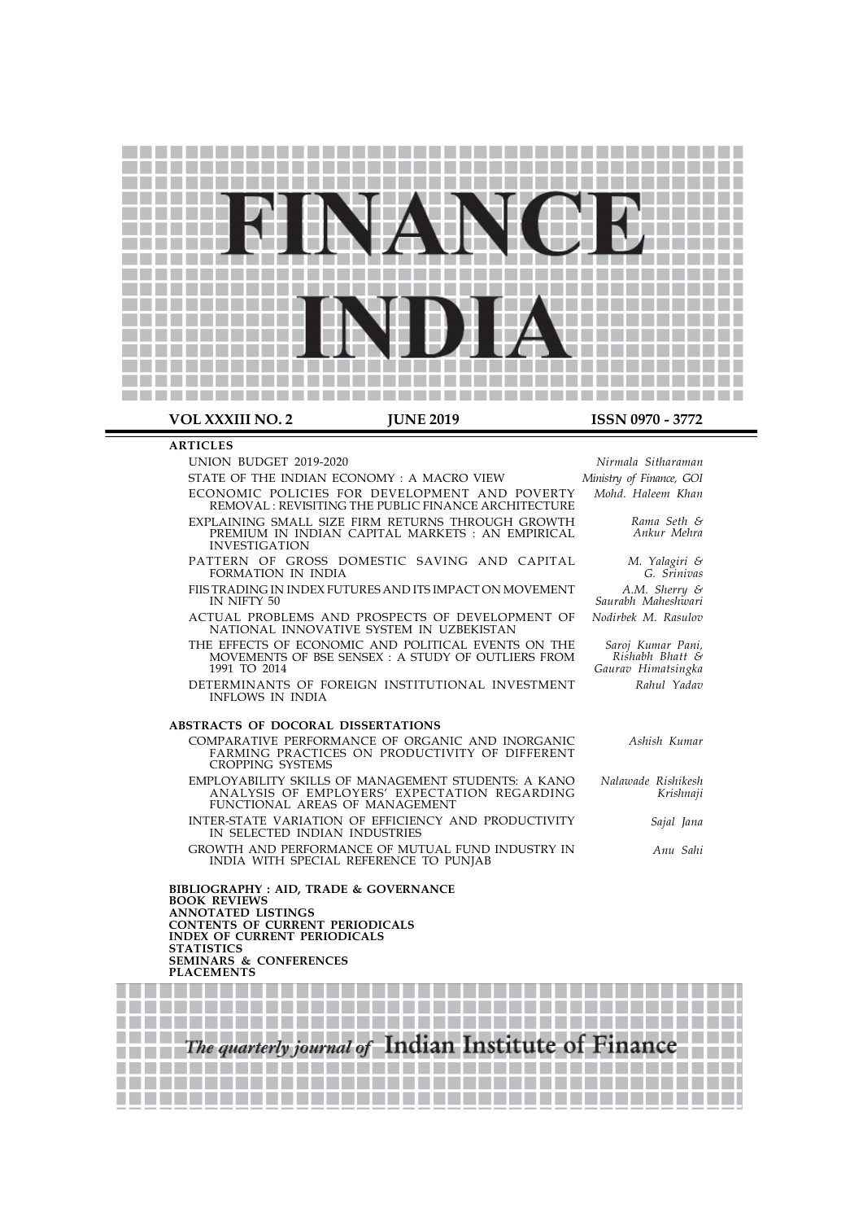

### **ARTICLES**

UNION BUDGET 2019-2020

STATE OF THE INDIAN ECONOMY : A MACRO VIEW ECONOMIC POLICIES FOR DEVELOPMENT AND POVERTY

REMOVAL : REVISITING THE PUBLIC FINANCE ARCHITECTURE EXPLAINING SMALL SIZE FIRM RETURNS THROUGH GROWTH PREMIUM IN INDIAN CAPITAL MARKETS : AN EMPIRICAL INVESTIGATION

PATTERN OF GROSS DOMESTIC SAVING AND CAPITAL FORMATION IN INDIA

FIIS TRADING IN INDEX FUTURES AND ITS IMPACT ON MOVEMENT IN NIFTY 50

ACTUAL PROBLEMS AND PROSPECTS OF DEVELOPMENT OF NATIONAL INNOVATIVE SYSTEM IN UZBEKISTAN

THE EFFECTS OF ECONOMIC AND POLITICAL EVENTS ON THE MOVEMENTS OF BSE SENSEX : A STUDY OF OUTLIERS FROM 1991 TO 2014

DETERMINANTS OF FOREIGN INSTITUTIONAL INVESTMENT INFLOWS IN INDIA

## ABSTRACTS OF DOCORAL DISSERTATIONS

COMPARATIVE PERFORMANCE OF ORGANIC AND INORGANIC FARMING PRACTICES ON PRODUCTIVITY OF DIFFERENT CROPPING SYSTEMS

EMPLOYABILITY SKILLS OF MANAGEMENT STUDENTS: A KANO ANALYSIS OF EMPLOYERS' EXPECTATION REGARDING FUNCTIONAL AREAS OF MANAGEMENT

INTER-STATE VARIATION OF EFFICIENCY AND PRODUCTIVITY IN SELECTED INDIAN INDUSTRIES

GROWTH AND PERFORMANCE OF MUTUAL FUND INDUSTRY IN INDIA WITH SPECIAL REFERENCE TO PUNJAB

BIBLIOGRAPHY : AID, TRADE & GOVERNANCE BOOK REVIEWS ANNOTATED LISTINGS CONTENTS OF CURRENT PERIODICALS INDEX OF CURRENT PERIODICALS **STATISTICS** SEMINARS & CONFERENCES PLACEMENTS

> B

**ET BETTER DE** 

<u>Martin Ba</u>

The quarterly journal of Indian Institute of Finance **All Del Del Del Del D** a matsa 

Nirmala Sitharaman Ministry of Finance, GOI Mohd. Haleem Khan

> Rama Seth & Ankur Mehra

M. Yalagiri & G. Srinivas A.M. Sherry & Saurabh Maheshwari Nodirbek M. Rasulov

Saroj Kumar Pani, Rishabh Bhatt & Gaurav Himatsingka Rahul Yadav

Ashish Kumar Nalawade Rishikesh Krishnaji Sajal Jana

Anu Sahi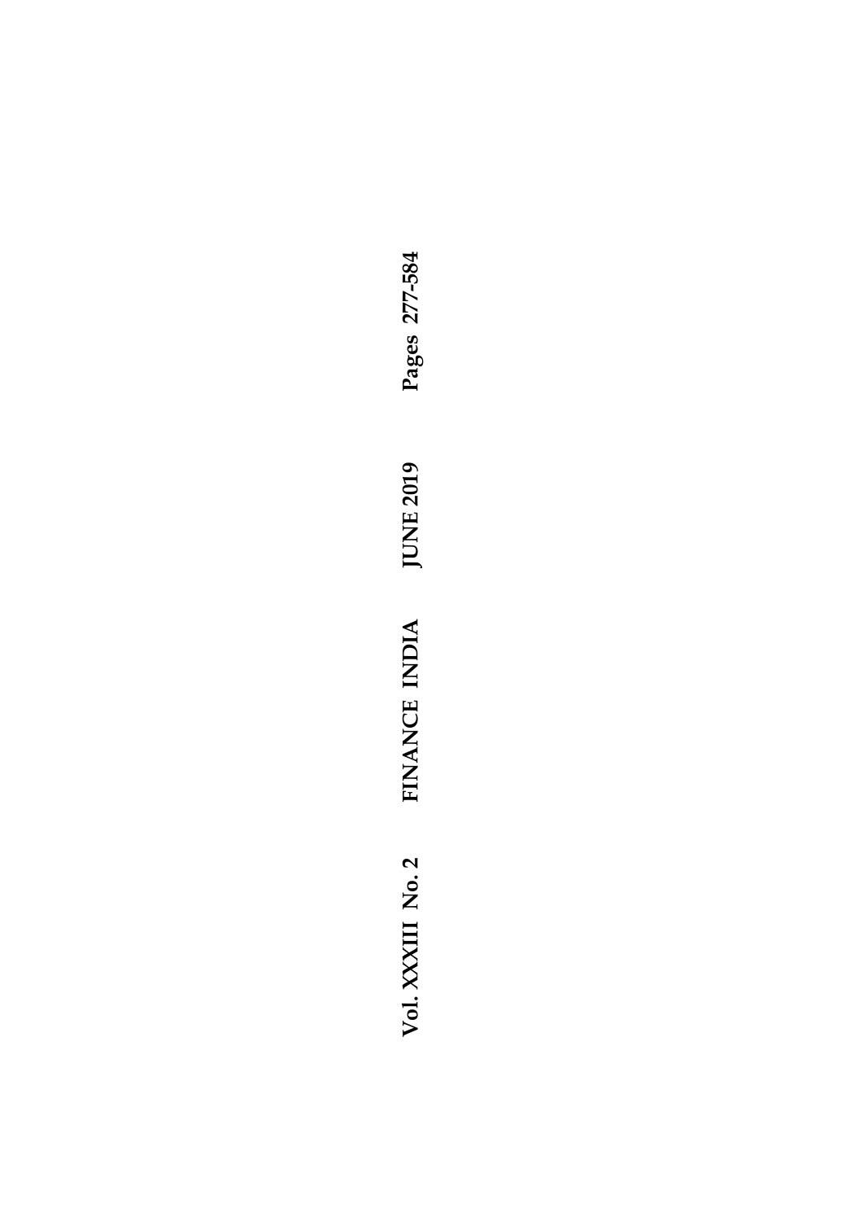Vol. XXXIII No. 2 FINANCE INDIA JUNE 2019 Pages 277-584